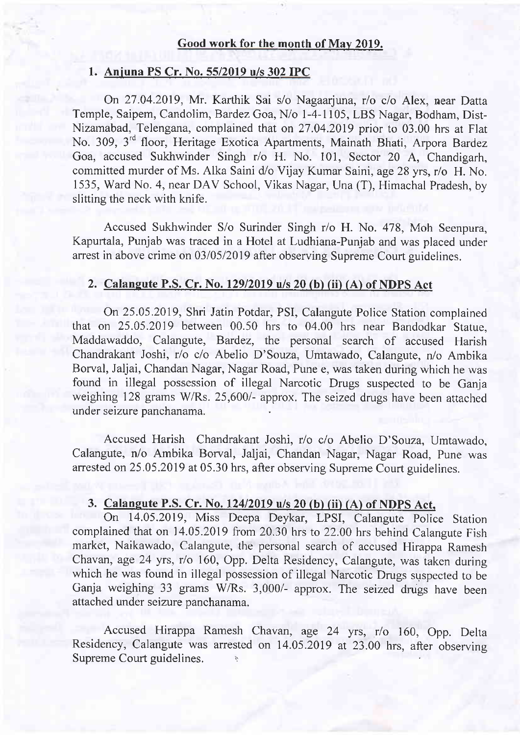#### Good work for the month of May 2019.

### 1. Anjuna PS Cr. No. 55/2019 u/s 302 IPC

On 27.04.2019, Mr. Karthik Sai s/o Nagaarjuna, r/o c/o Alex, near Datta Temple, Saipem, Candolim, Bardez Goa, Nio 1-4-1105, LBS Nagar, Bodham, Dist-Nizamabad, Telengana, complained that on 27.04.2019 prior to 03.00 hrs at Flat No. 309, 3'd floor, Heritage Exotica Apartments, Mainath Bhati, Arpora Bardez Goa, accused Sukhwinder Singh r/o H. No. 101, Sector 20 A, Chandigarh, committed murder of Ms. Alka Saini d/o Vijay Kumar Saini, age 28 yrs, r/o H. No. 1535, Ward No. 4, near DAV School, Vikas Nagar, Una (T), Himachal Pradesh, by slitting the neck with knife.

Accused Sukhwinder S/o Surinder Singh r/o H. No. 478, Moh Seenpura, Kapurtala, Punjab was traced in a Hotel at Ludhiana-Punjab and was placed under arrest in above crime on 03/05/2019 after observing Supreme Court guidelines.

#### 2. Calaneute P.S. Cr. No. 12912019 u/s 20 (b) (ii) (A) of NDPS Act

On25.05.2019, Shri Jatin Potdar, PSI, Calangute Police Station complained that on 25.05.2019 between 00.50 hrs to 04.00 hrs near Bandodkar Statue, Maddawaddo, Calangute, Bardez, the personal search of accused Harish Chandrakant Joshi, r/o c/o Abelio D'Souza, Umtawado, Calangute, n/o Ambika Borval, Jaljai, Chandan Nagar, Nagar Road, Pune e, was taken during which he was found in illegal possession of illegal Narcotic Drugs suspected to be Ganja weighing 128 grams W/Rs. 25,600/- approx. The seized drugs have been attached under seizure panchanama.

Accused Harish Chandrakant Joshi, r/o c/o Abelio D'Souza, Umtawado, Calangute, n/o Ambika Borval, Jaljai, Chandan Nagar, Nagar Road, Pune was arrested on 25.05.2019 at 05.30 hrs, after observing Supreme Court guidelines.

#### 3. Calaneute P.S. Cr. No. 12412019 u/s 20 (b) (ii) (A) of NDPS Act.

On 14.05.2019, Miss Deepa Deykar, LPSI, Calangute police Station complained that on 14.05.2019 from 20.30 hrs to 22.00 hrs behind Calangute Fish market, Naikawado, Calangute, the personal search of accused Hirappa Ramesh Chavan, age 24 yrs, r/o 160, Opp. Delta Residency, Calangute, was taken during which he was found in illegal possession of illegal Narcotic Drugs suspected to be Ganja weighing 33 grams W/Rs. 3,000/- approx. The seized drugs have been attached under seizure panchanama.

Accused Hirappa Ramesh Chavan, age 24 yrs, r/o 160, Opp. Delta Residency, Calangute was arrested on 14.05.2019 at 23.00 hrs, after observing Supreme Court guidelines.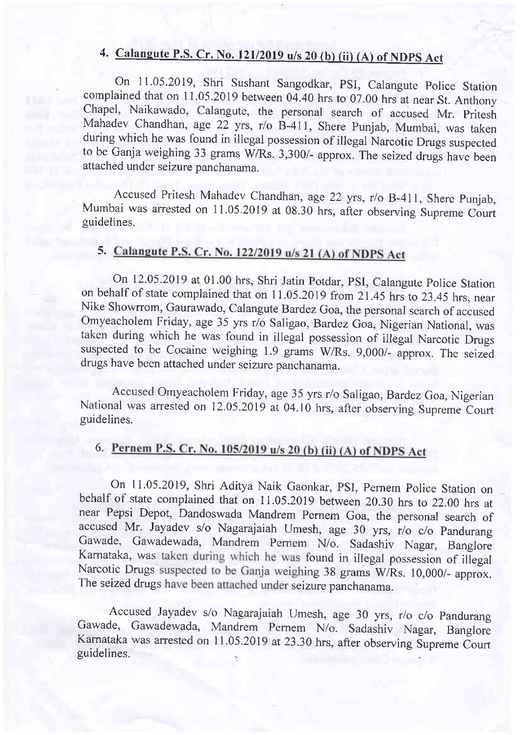## 4. Calangute P.S. Cr. No. 121/2019 u/s 20 (b) (ii) (A) of NDPS Act

On 11.05.2019, Shri Sushant Sangodkar, PSI, Calangute Police Station complained that on 11.05.2019 between 04.40 hrs to 07.00 hrs at near St. Anthony Chapel, Naikawado, Calangute, the personal search of accused Mr. Pritesh Mahadev Chandhan, age 22 yrs, r/o B-411, Shere Punjab, Mumbai, was taken during which he was found in illegal possession of illegal Narcotic Drugs suspected to be Ganja weighing 33 grams W/Rs. 3,300/- approx. The seized drugs have been attached under seizure panchanama.

Accused Pritesh Mahadev Chandhan, age 22 yrs, r/o B-411, Shere Punjab, Mumbai was arrested on 11.05.2019 at 08.30 hrs, after observing Supreme Court guidelines.

## 5. Calangute P.S. Cr. No. 122/2019 u/s 21 (A) of NDPS Act

On 12.05.2019 at 01.00 hrs, Shri Jatin Potdar, PSI, Calangute Police Station on behalf of state complained that on 11.05.2019 from 21.45 hrs to 23.45 hrs, near Nike Showrrom, Gaurawado, Calangute Bardez Goa, the personal search of accused omyeacholem Friday, age 35 yrs r/o Saligao, Bardez Goa, Nigerian National, was taken during which he was found in illegal possession of illegal Narcotic Drugs suspected to be Cocaine weighing 1.9 grams W/Rs. 9,000/- approx. The seized drugs have been attached under seizure panchanama.

Accused omyeacholem Friday, age 35 yrs r/o Saligao, Bardez Goa, Nigerian National was arrested on 12.05.2019 at 04.10 hrs, after observing Supreme Court guidelines.

## 6. Pernem P.S. Cr. No. 105/2019 u/s 20 (b) (ii) (A) of NDPS Act

On 11.05.2019, Shri Aditya Naik Gaonkar, PSI, Pernem Police Station on behalf of state complained that on 11.05.2019 between 20.30 hrs to 22.00 hrs at near Pepsi Depot, Dandoswada Mandrem pernem Goa, the personal search of accused Mr. Jayadev s/o Nagarajaiah Umesh, age 30 yrs, r/o c/o Pandurang Gawade, Gawadewada, Mandrem pemem N/o. Sadashiv Nagar, Banglore Karnataka, was taken during which he was found in illegal possession of illegal Narcotic Drugs suspected to be Ganja weighing 38 grams W/Rs. 10,000/- approx. The seized drugs have been attached under seizure panchanama.

 $\overline{a}$ Accused Jayadev s/o Nagarajaiah umesh, age 30 yrs, r/o c/o pandurang Gawade, Gawadewada, Mandrem Pernem N/o. Sadashiv Nagar, Banglore Karnataka was arrested on 11.05.2019 at 23.30 hrs, after observing Supreme Court guidelines.